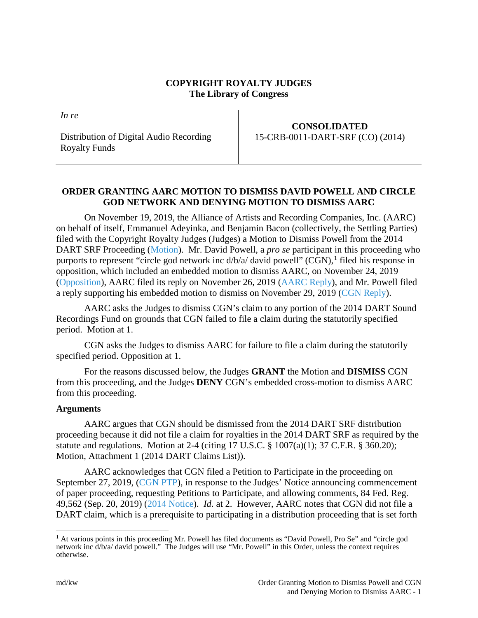### **COPYRIGHT ROYALTY JUDGES The Library of Congress**

*In re*

Distribution of Digital Audio Recording Royalty Funds

## **CONSOLIDATED** 15-CRB-0011-DART-SRF (CO) (2014)

# **ORDER GRANTING AARC MOTION TO DISMISS DAVID POWELL AND CIRCLE GOD NETWORK AND DENYING MOTION TO DISMISS AARC**

On November 19, 2019, the Alliance of Artists and Recording Companies, Inc. (AARC) on behalf of itself, Emmanuel Adeyinka, and Benjamin Bacon (collectively, the Settling Parties) filed with the Copyright Royalty Judges (Judges) a Motion to Dismiss Powell from the 2014 DART SRF Proceeding [\(Motion\)](https://app.crb.gov/case/viewDocument/15693). Mr. David Powell, a *pro se* participant in this proceeding who purports to represent "circle god network inc d/b/a/ david powell" (CGN), <sup>[1](#page-0-0)</sup> filed his response in opposition, which included an embedded motion to dismiss AARC, on November 24, 2019 [\(Opposition\)](https://app.crb.gov/case/viewDocument/15742), AARC filed its reply on November 26, 2019 [\(AARC Reply\)](https://app.crb.gov/case/viewDocument/15749), and Mr. Powell filed a reply supporting his embedded motion to dismiss on November 29, 2019 [\(CGN Reply\)](https://app.crb.gov/case/viewDocument/15774).

AARC asks the Judges to dismiss CGN's claim to any portion of the 2014 DART Sound Recordings Fund on grounds that CGN failed to file a claim during the statutorily specified period. Motion at 1.

CGN asks the Judges to dismiss AARC for failure to file a claim during the statutorily specified period. Opposition at 1.

For the reasons discussed below, the Judges **GRANT** the Motion and **DISMISS** CGN from this proceeding, and the Judges **DENY** CGN's embedded cross-motion to dismiss AARC from this proceeding.

### **Arguments**

AARC argues that CGN should be dismissed from the 2014 DART SRF distribution proceeding because it did not file a claim for royalties in the 2014 DART SRF as required by the statute and regulations. Motion at 2-4 (citing 17 U.S.C. § 1007(a)(1); 37 C.F.R. § 360.20); Motion, Attachment 1 (2014 DART Claims List)).

AARC acknowledges that CGN filed a Petition to Participate in the proceeding on September 27, 2019, [\(CGN PTP\)](https://app.crb.gov/case/petitionToParticipate/5), in response to the Judges' Notice announcing commencement of paper proceeding, requesting Petitions to Participate, and allowing comments, 84 Fed. Reg. 49,562 (Sep. 20, 2019) [\(2014 Notice\)](https://app.crb.gov/case/viewDocument/8990). *Id*. at 2. However, AARC notes that CGN did not file a DART claim, which is a prerequisite to participating in a distribution proceeding that is set forth

<span id="page-0-0"></span><sup>&</sup>lt;sup>1</sup> At various points in this proceeding Mr. Powell has filed documents as "David Powell, Pro Se" and "circle god network inc d/b/a/ david powell." The Judges will use "Mr. Powell" in this Order, unless the context requires otherwise.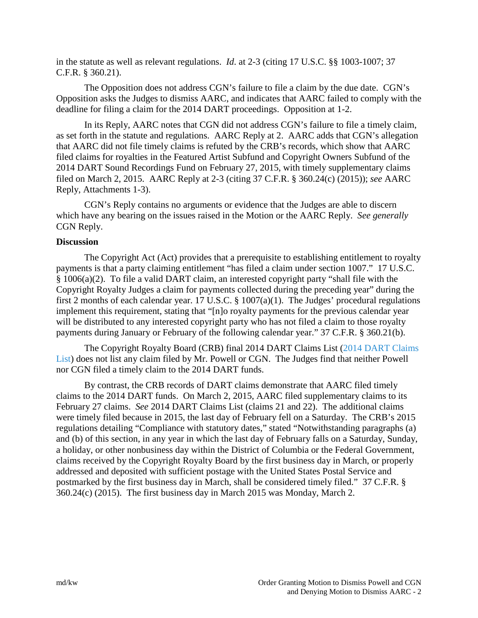in the statute as well as relevant regulations. *Id*. at 2-3 (citing 17 U.S.C. §§ 1003-1007; 37 C.F.R. § 360.21).

The Opposition does not address CGN's failure to file a claim by the due date. CGN's Opposition asks the Judges to dismiss AARC, and indicates that AARC failed to comply with the deadline for filing a claim for the 2014 DART proceedings. Opposition at 1-2.

In its Reply, AARC notes that CGN did not address CGN's failure to file a timely claim, as set forth in the statute and regulations. AARC Reply at 2. AARC adds that CGN's allegation that AARC did not file timely claims is refuted by the CRB's records, which show that AARC filed claims for royalties in the Featured Artist Subfund and Copyright Owners Subfund of the 2014 DART Sound Recordings Fund on February 27, 2015, with timely supplementary claims filed on March 2, 2015. AARC Reply at 2-3 (citing 37 C.F.R. § 360.24(c) (2015)); *see* AARC Reply, Attachments 1-3).

CGN's Reply contains no arguments or evidence that the Judges are able to discern which have any bearing on the issues raised in the Motion or the AARC Reply. *See generally* CGN Reply.

#### **Discussion**

The Copyright Act (Act) provides that a prerequisite to establishing entitlement to royalty payments is that a party claiming entitlement "has filed a claim under section 1007." 17 U.S.C. § 1006(a)(2). To file a valid DART claim, an interested copyright party "shall file with the Copyright Royalty Judges a claim for payments collected during the preceding year" during the first 2 months of each calendar year. 17 U.S.C. § 1007(a)(1). The Judges' procedural regulations implement this requirement, stating that "[n]o royalty payments for the previous calendar year will be distributed to any interested copyright party who has not filed a claim to those royalty payments during January or February of the following calendar year." 37 C.F.R. § 360.21(b).

The Copyright Royalty Board (CRB) final 2014 DART Claims List [\(2014 DART Claims](https://app.crb.gov/case/viewDocument/20099)  [List\)](https://app.crb.gov/case/viewDocument/20099) does not list any claim filed by Mr. Powell or CGN. The Judges find that neither Powell nor CGN filed a timely claim to the 2014 DART funds.

By contrast, the CRB records of DART claims demonstrate that AARC filed timely claims to the 2014 DART funds. On March 2, 2015, AARC filed supplementary claims to its February 27 claims. *See* 2014 DART Claims List (claims 21 and 22). The additional claims were timely filed because in 2015, the last day of February fell on a Saturday. The CRB's 2015 regulations detailing "Compliance with statutory dates," stated "Notwithstanding paragraphs (a) and (b) of this section, in any year in which the last day of February falls on a Saturday, Sunday, a holiday, or other nonbusiness day within the District of Columbia or the Federal Government, claims received by the Copyright Royalty Board by the first business day in March, or properly addressed and deposited with sufficient postage with the United States Postal Service and postmarked by the first business day in March, shall be considered timely filed." 37 C.F.R. § 360.24(c) (2015). The first business day in March 2015 was Monday, March 2.